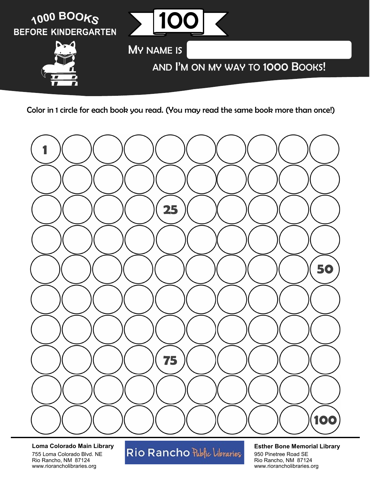



**Loma Colorado Main Library** 755 Loma Colorado Blvd. NE Rio Rancho, NM 87124 www.riorancholibraries.org

# Rio Rancho Public Libraries

#### **Esther Bone Memorial Library**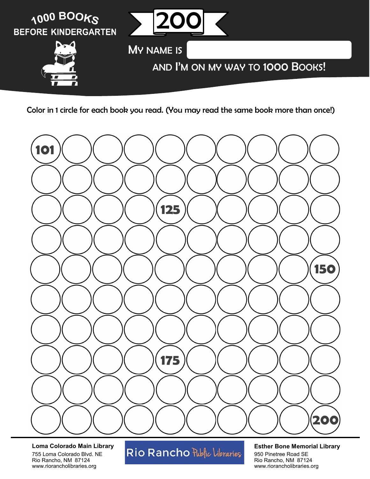



**Loma Colorado Main Library** 755 Loma Colorado Blvd. NE Rio Rancho, NM 87124 www.riorancholibraries.org

# Rio Rancho Public Libraries

#### **Esther Bone Memorial Library**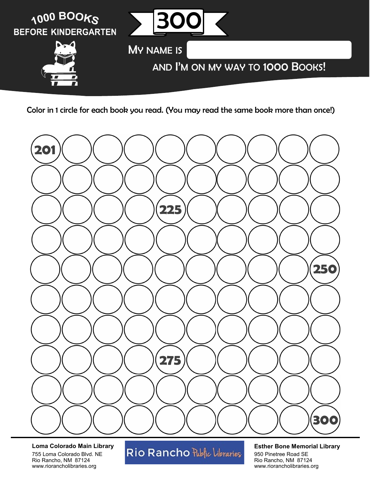



**Loma Colorado Main Library** 755 Loma Colorado Blvd. NE Rio Rancho, NM 87124 www.riorancholibraries.org

# Rio Rancho Public Libraries

#### **Esther Bone Memorial Library**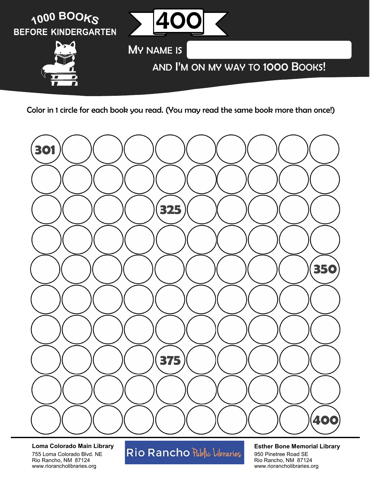



**Loma Colorado Main Library** 755 Loma Colorado Blvd. NE Rio Rancho, NM 87124 www.riorancholibraries.org

# Rio Rancho Public Libraries

#### **Esther Bone Memorial Library**